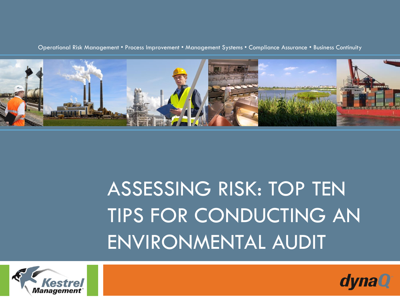

Operational Risk Management • Process Improvement • Management Systems • Compliance Assurance • Business Continuity

#### ASSESSING RISK: TOP TEN TIPS FOR CONDUCTING AN ENVIRONMENTAL AUDIT



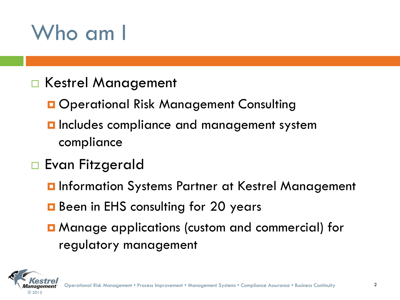#### Who am I

- □ Kestrel Management
	- **O** Operational Risk Management Consulting
	- **D** Includes compliance and management system compliance
- □ Evan Fitzgerald
	- **O** Information Systems Partner at Kestrel Management
	- **B** Been in EHS consulting for 20 years
	- Manage applications (custom and commercial) for regulatory management

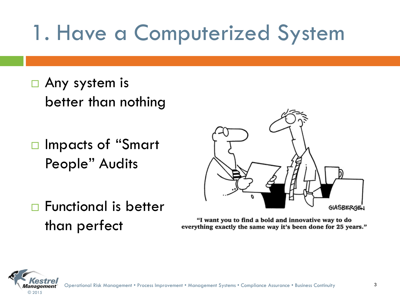## 1. Have a Computerized System

- □ Any system is better than nothing
- □ Impacts of "Smart People" Audits



□ Functional is better than perfect

"I want you to find a bold and innovative way to do everything exactly the same way it's been done for 25 years."

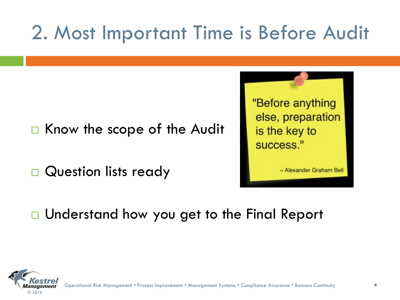#### 2. Most Important Time is Before Audit

#### $\Box$  Know the scope of the Audit

Question lists ready



~ Alexander Graham Bell

□ Understand how you get to the Final Report



Operational Risk Management • Process Improvement • Management Systems • Compliance Assurance • Business Continuity 4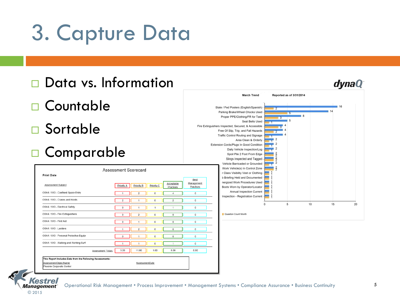## 3. Capture Data





© 2015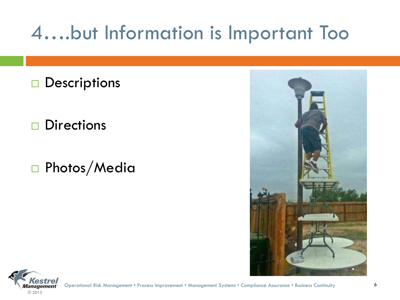#### 4….but Information is Important Too

 $\square$  Descriptions

 $\square$  Directions

Photos/Media



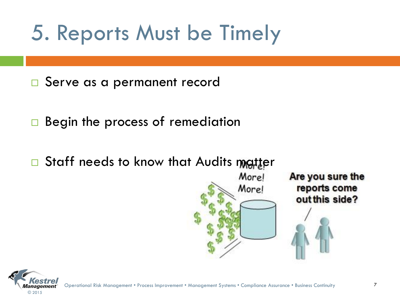## 5. Reports Must be Timely

□ Serve as a permanent record

Begin the process of remediation

 $\Box$  Staff needs to know that Audits matter



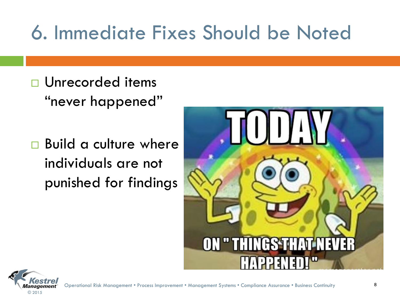#### 6. Immediate Fixes Should be Noted

- □ Unrecorded items "never happened"
- □ Build a culture where individuals are not punished for findings



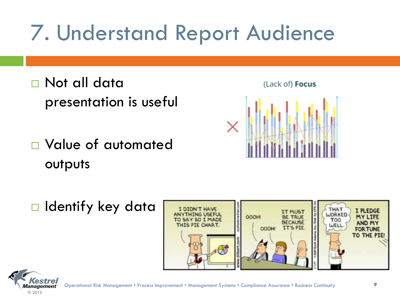## 7. Understand Report Audience

- □ Not all data presentation is useful
- Value of automated outputs





 $\Box$  Identify key data



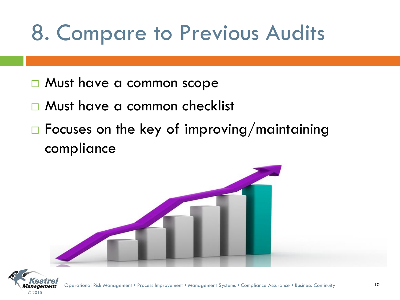## 8. Compare to Previous Audits

- □ Must have a common scope
- □ Must have a common checklist
- $\Box$  Focuses on the key of improving/maintaining compliance



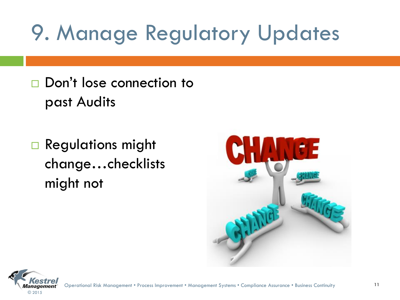# 9. Manage Regulatory Updates

- □ Don't lose connection to past Audits
- Regulations might change…checklists might not



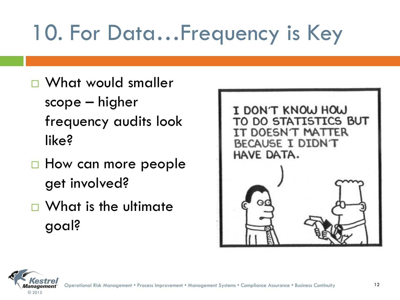# 10. For Data…Frequency is Key

- □ What would smaller scope – higher frequency audits look like?
- $\Box$  How can more people get involved?
- □ What is the ultimate goal?